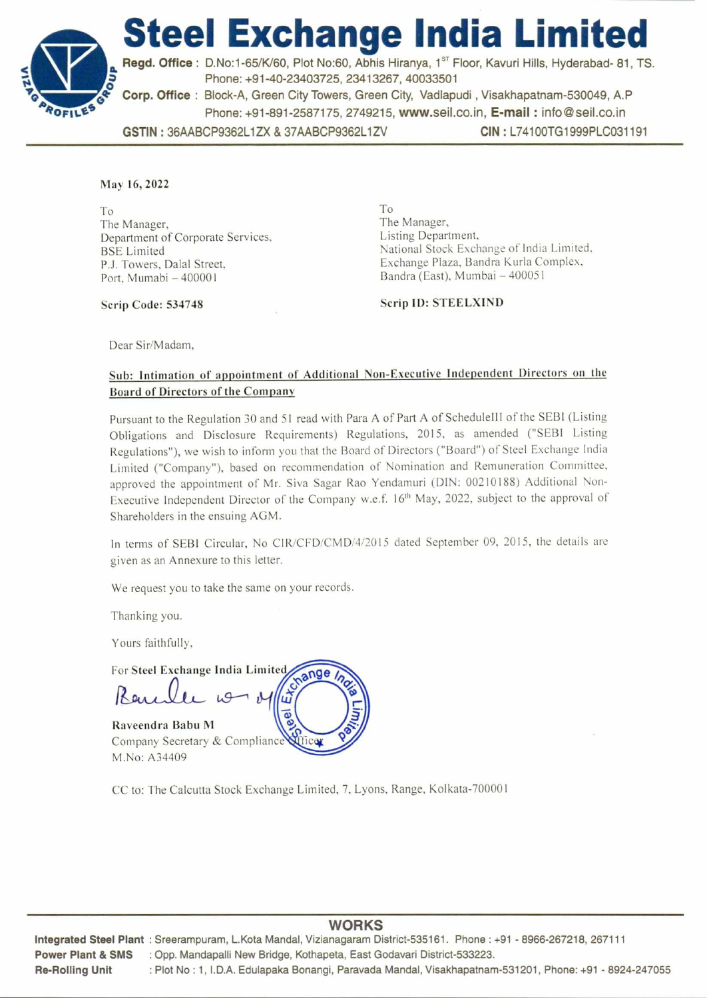

**GSTIN :** 36AABCP9362L1ZX & 37AABCP9362L1ZV **CIN :** L74100TG1999PLC031191

## May 16, 2022

To The Manager, Department of Corporate Services, BSE Limited P.J. Towers, Dalal Street, Port, Mumabi — 400001

To The Manager, Listing Department, National Stock Exchange of India Limited, Exchange Plaza, Bandra Kurla Complex, Bandra (East), Mumbai — 400051

Scrip Code: 534748

Scrip ID: STEELXIND

Dear Sir/Madam,

## Sub: Intimation of appointment of Additional Non-Executive Independent Directors on the Board of Directors of the Company

Pursuant to the Regulation 30 and 51 read with Para A of Part A of ScheduleIII of the SEBI (Listing Obligations and Disclosure Requirements) Regulations, 2015, as amended ("SEBI Listing Regulations"), we wish to inform you that the Board of Directors ("Board") of Steel Exchange India Limited ("Company"), based on recommendation of Nomination and Remuneration Committee, approved the appointment of Mr. Siva Sagar Rao Yendamuri (DIN: 00210188) Additional Non-Executive Independent Director of the Company w.e.f. 16<sup>th</sup> May, 2022, subject to the approval of Shareholders in the ensuing AGM.

In terms of SEBI Circular, No C1R/CFD/CMD/4/2015 dated September 09, 2015, the details are given as an Annexure to this letter.

We request you to take the same on your records.

Thanking you.

Yours faithfully,

For Steel Exchange India Limited ange Raveendra Babu M

Company Secretary & Compliance M.No: A34409

CC to: The Calcutta Stock Exchange Limited, 7, Lyons, Range, Kolkata-700001

## **WORKS**

Integrated Steel Plant : Sreerampuram, L.Kota Mandal, Vizianagaram District-535161. Phone : +91 - 8966-267218, 267111 Power Plant & SMS : Opp. Mandapalli New Bridge, Kothapeta, East Godavari District-533223. Re-Rolling Unit : Plot No : 1, I.D.A. Edulapaka Bonangi, Paravada Mandal, Visakhapatnam-531201, Phone: +91 - 8924-247055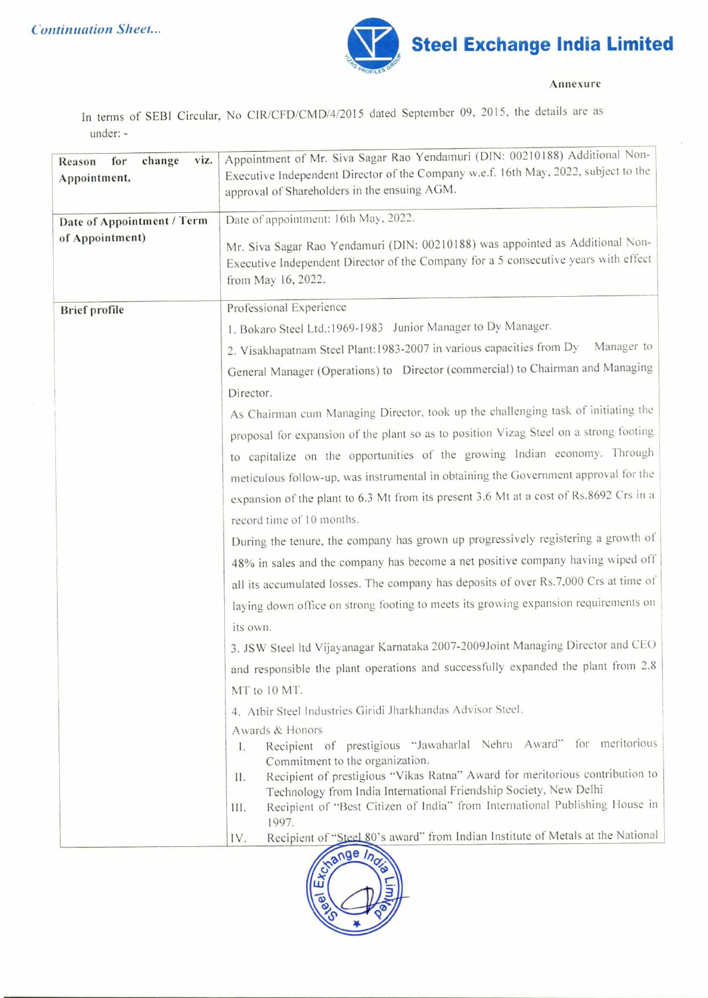

**Annexure** 

In terms of SEBI Circular, No CIR/CFD/CMD/4/2015 dated September 09, 2015, the details are as under: -

| for<br>change<br>viz.<br>Reason | Appointment of Mr. Siva Sagar Rao Yendamuri (DIN: 00210188) Additional Non-                                                                                                                |
|---------------------------------|--------------------------------------------------------------------------------------------------------------------------------------------------------------------------------------------|
| Appointment,                    | Executive Independent Director of the Company w.e.f. 16th May, 2022, subject to the                                                                                                        |
|                                 | approval of Shareholders in the ensuing AGM.                                                                                                                                               |
| Date of Appointment / Term      | Date of appointment: 16th May, 2022.                                                                                                                                                       |
| of Appointment)                 | Mr. Siva Sagar Rao Yendamuri (DIN: 00210188) was appointed as Additional Non-<br>Executive Independent Director of the Company for a 5 consecutive years with effect<br>from May 16, 2022. |
| <b>Brief</b> profile            | Professional Experience                                                                                                                                                                    |
|                                 | 1. Bokaro Steel Ltd.:1969-1983 Junior Manager to Dy Manager.                                                                                                                               |
|                                 | Manager to<br>2. Visakhapatnam Steel Plant:1983-2007 in various capacities from Dy                                                                                                         |
|                                 | General Manager (Operations) to Director (commercial) to Chairman and Managing                                                                                                             |
|                                 | Director.                                                                                                                                                                                  |
|                                 | As Chairman cum Managing Director, took up the challenging task of initiating the                                                                                                          |
|                                 | proposal for expansion of the plant so as to position Vizag Steel on a strong footing                                                                                                      |
|                                 | to capitalize on the opportunities of the growing Indian economy. Through                                                                                                                  |
|                                 | meticulous follow-up, was instrumental in obtaining the Government approval for the                                                                                                        |
|                                 | expansion of the plant to 6.3 Mt from its present 3.6 Mt at a cost of Rs.8692 Crs in a                                                                                                     |
|                                 | record time of 10 months.                                                                                                                                                                  |
|                                 | During the tenure, the company has grown up progressively registering a growth of                                                                                                          |
|                                 | 48% in sales and the company has become a net positive company having wiped off                                                                                                            |
|                                 | all its accumulated losses. The company has deposits of over Rs.7,000 Crs at time of                                                                                                       |
|                                 | laying down office on strong footing to meets its growing expansion requirements on                                                                                                        |
|                                 | its own.                                                                                                                                                                                   |
|                                 | 3. JSW Steel Itd Vijayanagar Karnataka 2007-2009Joint Managing Director and CEO                                                                                                            |
|                                 | and responsible the plant operations and successfully expanded the plant from 2.8                                                                                                          |
|                                 | MT to 10 MT.                                                                                                                                                                               |
|                                 | 4. Atbir Steel Industries Giridi Jharkhandas Advisor Steel.                                                                                                                                |
|                                 | Awards & Honors                                                                                                                                                                            |
|                                 | Recipient of prestigious "Jawaharlal Nehru Award" for meritorious<br>L.<br>Commitment to the organization.                                                                                 |
|                                 | Recipient of prestigious "Vikas Ratna" Award for meritorious contribution to<br>П.                                                                                                         |
|                                 | Technology from India International Friendship Society, New Delhi<br>Recipient of "Best Citizen of India" from International Publishing House in                                           |
|                                 | Ш.<br>1997.                                                                                                                                                                                |
|                                 | Recipient of "Steel 80's award" from Indian Institute of Metals at the National<br>IV.                                                                                                     |